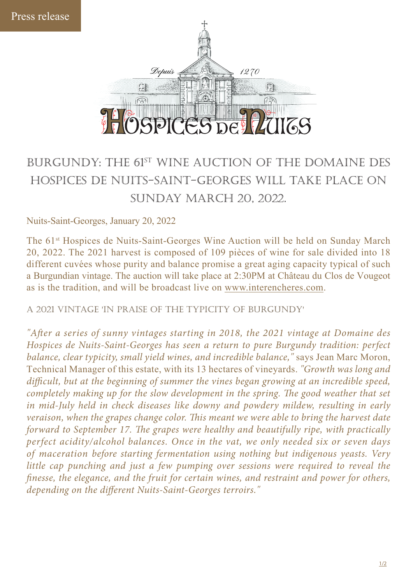

## burgundy: the 61st wine auction of the domaine des hospices de nuits-saint-georges will take place on sunday march 20, 2022.

Nuits-Saint-Georges, January 20, 2022

The 61<sup>st</sup> Hospices de Nuits-Saint-Georges Wine Auction will be held on Sunday March 20, 2022. The 2021 harvest is composed of 109 pièces of wine for sale divided into 18 different cuvées whose purity and balance promise a great aging capacity typical of such a Burgundian vintage. The auction will take place at 2:30PM at Château du Clos de Vougeot as is the tradition, and will be broadcast live on www.interencheres.com.

a 2021 vintage 'in praise of the typicity of burgundy'

"After a series of sunny vintages starting in 2018, the 2021 vintage at Domaine des *Hospices de Nuits-Saint-Georges has seen a return to pure Burgundy tradition: perfect balance, clear typicity, small yield wines, and incredible balance,"* says Jean Marc Moron, Technical Manager of this estate, with its 13 hectares of vineyards. *"Growth was long and*  difficult, but at the beginning of summer the vines began growing at an incredible speed, *completely making up for the slow development in the spring. The good weather that set in mid-July held in check diseases like downy and powdery mildew, resulting in early veraison, when the grapes change color. This meant we were able to bring the harvest date forward to September 17. The grapes were healthy and beautifully ripe, with practically perfect acidity/alcohol balances. Once in the vat, we only needed six or seven days of maceration before starting fermentation using nothing but indigenous yeasts. Very little cap punching and just a few pumping over sessions were required to reveal the nesse, the elegance, and the fruit for certain wines, and restraint and power for others, depending on the different Nuits-Saint-Georges terroirs."*